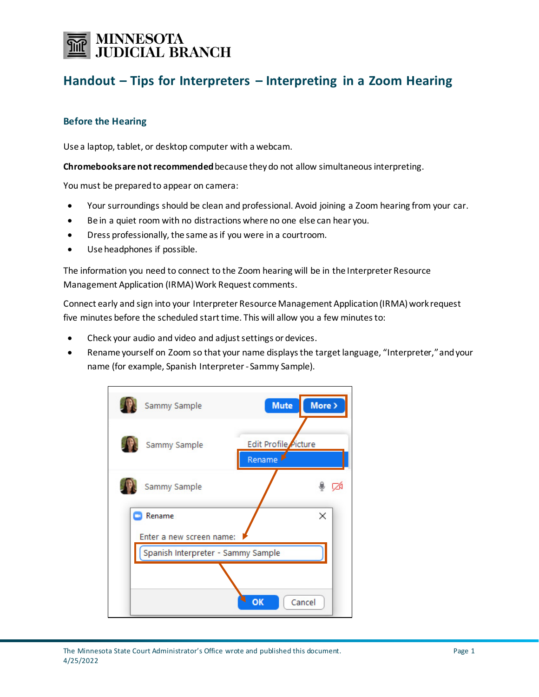# **MINNESOTA<br>JUDICIAL BRANCH**

## **Handout – Tips for Interpreters – Interpreting in a Zoom Hearing**

### **Before the Hearing**

Use a laptop, tablet, or desktop computer with a webcam.

**Chromebooks are not recommended**because they do not allow simultaneous interpreting.

You must be prepared to appear on camera:

- Your surroundings should be clean and professional. Avoid joining a Zoom hearing from your car.
- Be in a quiet room with no distractions where no one else can hear you.
- Dress professionally, the same as if you were in a courtroom.
- Use headphones if possible.

The information you need to connect to the Zoom hearing will be in the Interpreter Resource Management Application (IRMA) Work Request comments.

Connect early and sign into your Interpreter Resource Management Application (IRMA) work request five minutes before the scheduled start time. This will allow you a few minutes to:

- Check your audio and video and adjustsettings or devices.
- Rename yourself on Zoom so that your name displays the target language, "Interpreter," and your name (for example, Spanish Interpreter- Sammy Sample).